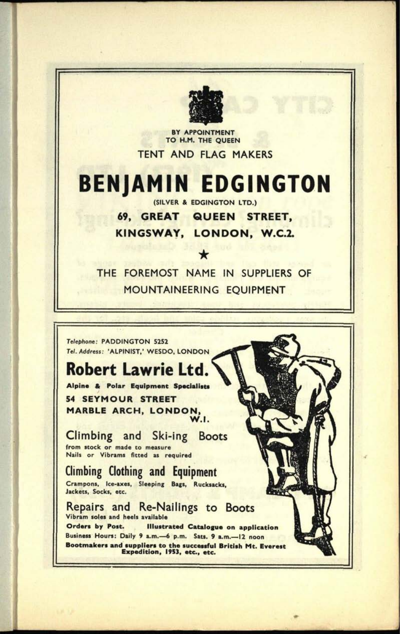

**BY APPOINTMENT TO H.M. THE QUEEN**

TENT AND FLAG MAKERS

### **BENJAMIN EDGINGTON** (SILVER & EDGINGTON LTD.)

**69, GREAT QUEEN STREET, KINGSWAY, LONDON, W.C.2.**

THE FOREMOST NAME IN SUPPLIERS OF MOUNTAINEERING EQUIPMENT

\*

Telephone: PADDINGTON 5252 Tel. Address: 'ALPINIST,' WESDO, LONDON

## **Robert Lawrie Ltd.**

**Alpine & Polar Equipment Specialists 54 SEYMOUR STREET MARBLE ARCH, LONDON, W.I.**

Climbing and Ski-ing Boots from stock or made to measure Nails or Vibrams fitted as required

Climbing Clothing and Equipment Crampons, Ice-axes, Steeping Bags, Rucksacks, Jackets, Socks, etc.

Repairs and Re-Nailings to Boots Vibram soles and heels available **Orders by Post. Illustrated Catalogue on application** Business Hours: Daily 9 a.m. -6 p.m. Sats. 9 a.m. - 12 noon **Bootmakers and suppliers to the successful British Mt. Everest Expedition, 1953, etc.. etc.**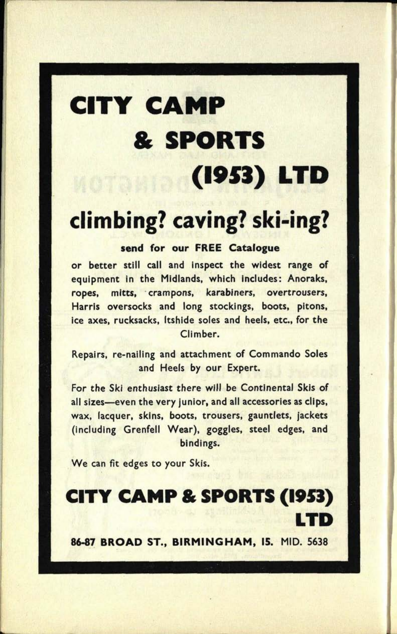# **CITY CAMP & SPORTS (1951) LTD**

# **climbing? caving? ski-ing?**

#### **send for our FREE Catalogue**

or better still call and inspect the widest range of equipment in the Midlands, which includes: Anoraks, ropes, mitts, crampons, karabiners, overtrousers, Harris oversocks and long stockings, boots, pitons, ice axes, rucksacks, Itshide soles and heels, etc., for the Climber.

Repairs, re-nailing and attachment of Commando Soles and Heels by our Expert.

For the Ski enthusiast there will be Continental Skis of all sizes-even the very junior, and all accessories as clips, wax, lacquer, skins, boots, trousers, gauntlets, jackets (including Grenfell Wear), goggles, steel edges, and bindings.

We can fit edges to your Skis.

**CITY CAMP & SPORTS (1953) LTD**

**86-87 BROAD ST., BIRMINGHAM, 15. MID. 5638**